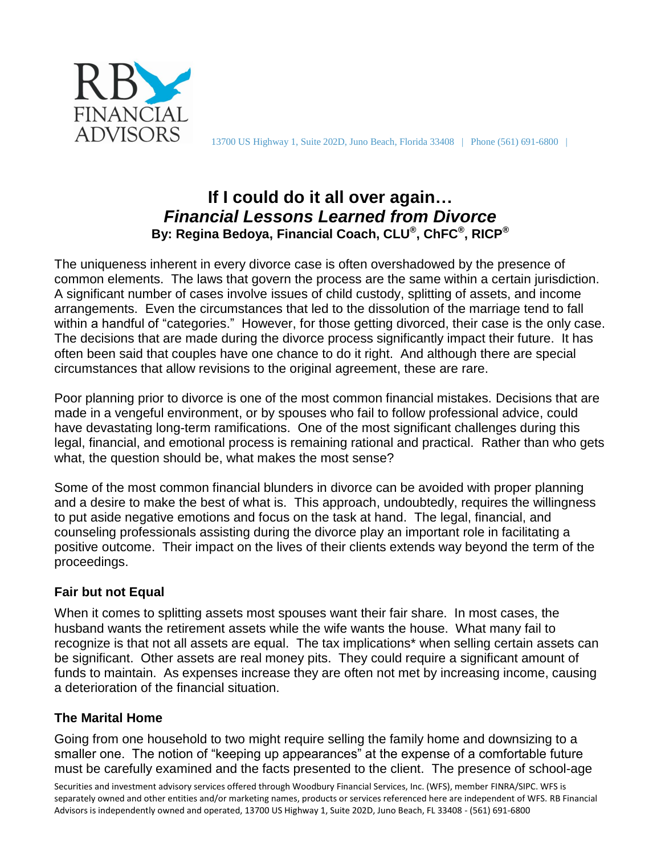

# **If I could do it all over again…** *Financial Lessons Learned from Divorce* **By: Regina Bedoya, Financial Coach, CLU® , ChFC® , RICP®**

The uniqueness inherent in every divorce case is often overshadowed by the presence of common elements. The laws that govern the process are the same within a certain jurisdiction. A significant number of cases involve issues of child custody, splitting of assets, and income arrangements. Even the circumstances that led to the dissolution of the marriage tend to fall within a handful of "categories." However, for those getting divorced, their case is the only case. The decisions that are made during the divorce process significantly impact their future. It has often been said that couples have one chance to do it right. And although there are special circumstances that allow revisions to the original agreement, these are rare.

Poor planning prior to divorce is one of the most common financial mistakes. Decisions that are made in a vengeful environment, or by spouses who fail to follow professional advice, could have devastating long-term ramifications. One of the most significant challenges during this legal, financial, and emotional process is remaining rational and practical. Rather than who gets what, the question should be, what makes the most sense?

Some of the most common financial blunders in divorce can be avoided with proper planning and a desire to make the best of what is. This approach, undoubtedly, requires the willingness to put aside negative emotions and focus on the task at hand. The legal, financial, and counseling professionals assisting during the divorce play an important role in facilitating a positive outcome. Their impact on the lives of their clients extends way beyond the term of the proceedings.

# **Fair but not Equal**

When it comes to splitting assets most spouses want their fair share. In most cases, the husband wants the retirement assets while the wife wants the house. What many fail to recognize is that not all assets are equal. The tax implications\* when selling certain assets can be significant. Other assets are real money pits. They could require a significant amount of funds to maintain. As expenses increase they are often not met by increasing income, causing a deterioration of the financial situation.

# **The Marital Home**

Going from one household to two might require selling the family home and downsizing to a smaller one. The notion of "keeping up appearances" at the expense of a comfortable future must be carefully examined and the facts presented to the client. The presence of school-age

Securities and investment advisory services offered through Woodbury Financial Services, Inc. (WFS), member FINRA/SIPC. WFS is separately owned and other entities and/or marketing names, products or services referenced here are independent of WFS. RB Financial Advisors is independently owned and operated, 13700 US Highway 1, Suite 202D, Juno Beach, FL 33408 - (561) 691-6800